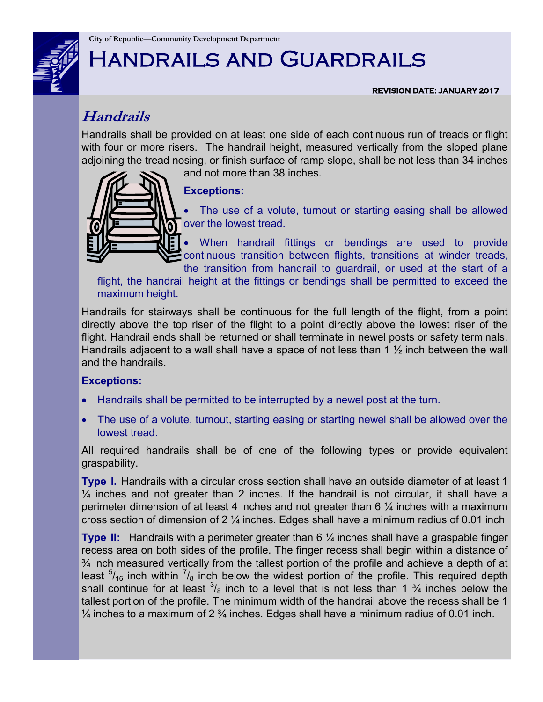

# Handrails and Guardrails

**REVISION DATE: JANUARY 2017** 

# **Handrails**

Handrails shall be provided on at least one side of each continuous run of treads or flight with four or more risers. The handrail height, measured vertically from the sloped plane adjoining the tread nosing, or finish surface of ramp slope, shall be not less than 34 inches

and not more than 38 inches.



### **Exceptions:**

 The use of a volute, turnout or starting easing shall be allowed over the lowest tread.

 When handrail fittings or bendings are used to provide continuous transition between flights, transitions at winder treads, the transition from handrail to guardrail, or used at the start of a

flight, the handrail height at the fittings or bendings shall be permitted to exceed the maximum height.

Handrails for stairways shall be continuous for the full length of the flight, from a point directly above the top riser of the flight to a point directly above the lowest riser of the flight. Handrail ends shall be returned or shall terminate in newel posts or safety terminals. Handrails adjacent to a wall shall have a space of not less than 1  $\frac{1}{2}$  inch between the wall and the handrails.

### **Exceptions:**

- Handrails shall be permitted to be interrupted by a newel post at the turn.
- The use of a volute, turnout, starting easing or starting newel shall be allowed over the lowest tread.

All required handrails shall be of one of the following types or provide equivalent graspability.

**Type I.** Handrails with a circular cross section shall have an outside diameter of at least 1  $\frac{1}{4}$  inches and not greater than 2 inches. If the handrail is not circular, it shall have a perimeter dimension of at least 4 inches and not greater than 6  $\frac{1}{4}$  inches with a maximum cross section of dimension of 2 ¼ inches. Edges shall have a minimum radius of 0.01 inch

**Type II:** Handrails with a perimeter greater than 6 ¼ inches shall have a graspable finger recess area on both sides of the profile. The finger recess shall begin within a distance of  $\frac{3}{4}$  inch measured vertically from the tallest portion of the profile and achieve a depth of at least  $5/16$  inch within  $7/8$  inch below the widest portion of the profile. This required depth shall continue for at least  $\frac{3}{8}$  inch to a level that is not less than 1  $\frac{3}{4}$  inches below the tallest portion of the profile. The minimum width of the handrail above the recess shall be 1  $\frac{1}{4}$  inches to a maximum of 2  $\frac{3}{4}$  inches. Edges shall have a minimum radius of 0.01 inch.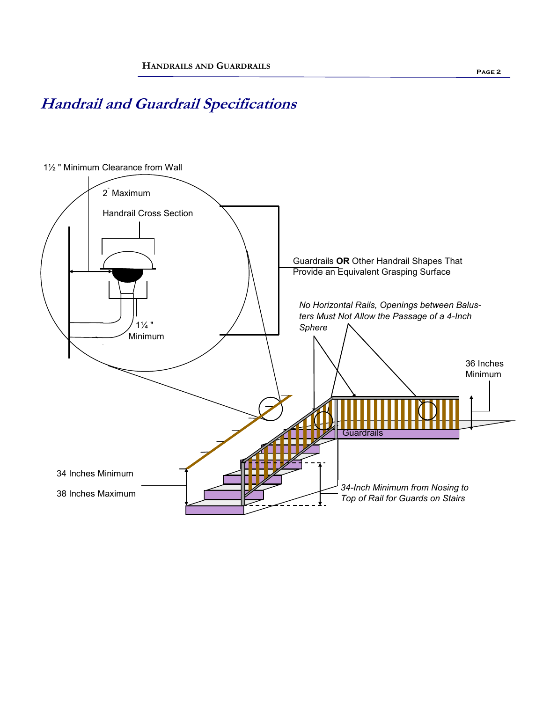# **Handrail and Guardrail Specifications**

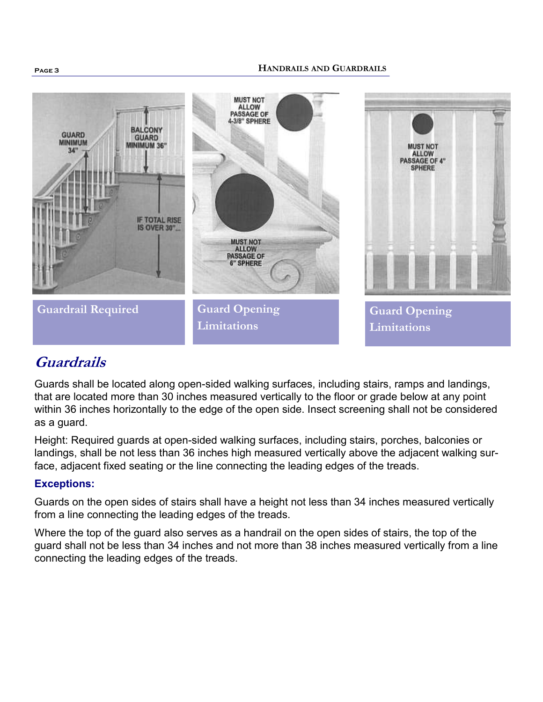#### **HANDRAILS AND GUARDRAILS**



## **Guardrails**

Guards shall be located along open-sided walking surfaces, including stairs, ramps and landings, that are located more than 30 inches measured vertically to the floor or grade below at any point within 36 inches horizontally to the edge of the open side. Insect screening shall not be considered as a guard.

Height: Required guards at open-sided walking surfaces, including stairs, porches, balconies or landings, shall be not less than 36 inches high measured vertically above the adjacent walking surface, adjacent fixed seating or the line connecting the leading edges of the treads.

### **Exceptions:**

Guards on the open sides of stairs shall have a height not less than 34 inches measured vertically from a line connecting the leading edges of the treads.

Where the top of the guard also serves as a handrail on the open sides of stairs, the top of the guard shall not be less than 34 inches and not more than 38 inches measured vertically from a line connecting the leading edges of the treads.

**Page 3**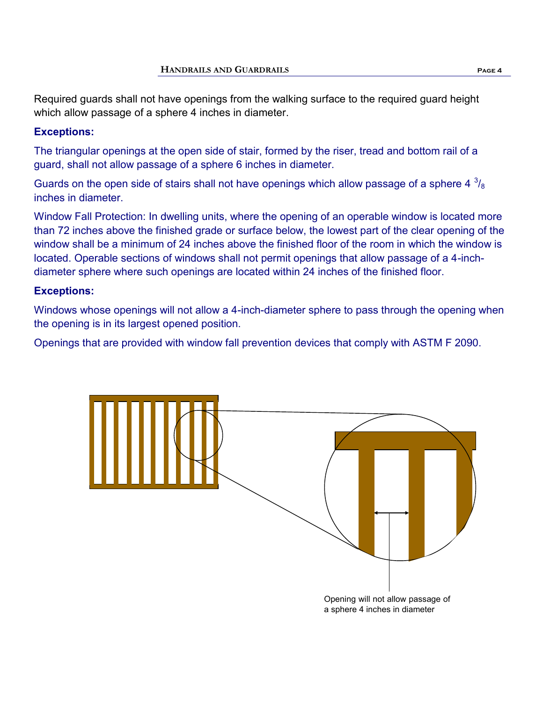Required guards shall not have openings from the walking surface to the required guard height which allow passage of a sphere 4 inches in diameter.

### **Exceptions:**

The triangular openings at the open side of stair, formed by the riser, tread and bottom rail of a guard, shall not allow passage of a sphere 6 inches in diameter.

Guards on the open side of stairs shall not have openings which allow passage of a sphere 4  $^3\prime_8$ inches in diameter.

Window Fall Protection: In dwelling units, where the opening of an operable window is located more than 72 inches above the finished grade or surface below, the lowest part of the clear opening of the window shall be a minimum of 24 inches above the finished floor of the room in which the window is located. Operable sections of windows shall not permit openings that allow passage of a 4-inchdiameter sphere where such openings are located within 24 inches of the finished floor.

### **Exceptions:**

Windows whose openings will not allow a 4-inch-diameter sphere to pass through the opening when the opening is in its largest opened position.

Openings that are provided with window fall prevention devices that comply with ASTM F 2090.



a sphere 4 inches in diameter